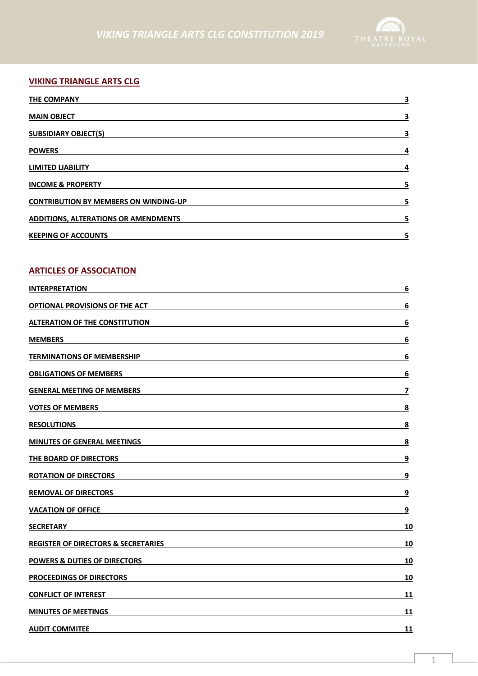

# **VIKING TRIANGLE ARTS CLG**

| <b>THE COMPANY</b>                           | 3 |
|----------------------------------------------|---|
| <b>MAIN OBJECT</b>                           | 3 |
| <b>SUBSIDIARY OBJECT(S)</b>                  | 3 |
| <b>POWERS</b>                                | 4 |
| <b>LIMITED LIABILITY</b>                     | 4 |
| <b>INCOME &amp; PROPERTY</b>                 | 5 |
| <b>CONTRIBUTION BY MEMBERS ON WINDING-UP</b> | 5 |
| <b>ADDITIONS, ALTERATIONS OR AMENDMENTS</b>  | 5 |
| <b>KEEPING OF ACCOUNTS</b>                   | 5 |

# **ARTICLES OF ASSOCIATION**

| <b>INTERPRETATION</b>                          | 6                       |
|------------------------------------------------|-------------------------|
| <b>OPTIONAL PROVISIONS OF THE ACT</b>          | 6                       |
| <b>ALTERATION OF THE CONSTITUTION</b>          | 6                       |
| <b>MEMBERS</b>                                 | $\boldsymbol{6}$        |
| <b>TERMINATIONS OF MEMBERSHIP</b>              | 6                       |
| <b>OBLIGATIONS OF MEMBERS</b>                  | 6                       |
| <b>GENERAL MEETING OF MEMBERS</b>              | $\overline{\mathbf{z}}$ |
| <b>VOTES OF MEMBERS</b>                        | 8                       |
| <b>RESOLUTIONS</b>                             | $\overline{\mathbf{8}}$ |
| <b>MINUTES OF GENERAL MEETINGS</b>             | 8                       |
| THE BOARD OF DIRECTORS                         | 9                       |
| <b>ROTATION OF DIRECTORS</b>                   | 9                       |
| <b>REMOVAL OF DIRECTORS</b>                    | 9                       |
| <b>VACATION OF OFFICE</b>                      | <u>9</u>                |
| <b>SECRETARY</b>                               | 10                      |
| <b>REGISTER OF DIRECTORS &amp; SECRETARIES</b> | 10                      |
| <b>POWERS &amp; DUTIES OF DIRECTORS</b>        | 10                      |
| PROCEEDINGS OF DIRECTORS                       | 10                      |
| <b>CONFLICT OF INTEREST</b>                    | 11                      |
| <b>MINUTES OF MEETINGS</b>                     | 11                      |
| <b>AUDIT COMMITEE</b>                          | 11                      |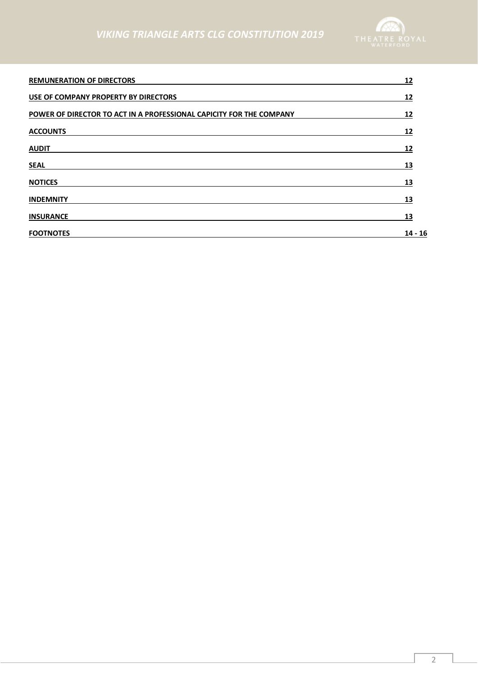

| <b>REMUNERATION OF DIRECTORS</b>                                    | 12        |
|---------------------------------------------------------------------|-----------|
| USE OF COMPANY PROPERTY BY DIRECTORS                                | 12        |
| POWER OF DIRECTOR TO ACT IN A PROFESSIONAL CAPICITY FOR THE COMPANY | 12        |
| <b>ACCOUNTS</b>                                                     | 12        |
| <b>AUDIT</b>                                                        | 12        |
| <b>SEAL</b>                                                         | 13        |
| <b>NOTICES</b>                                                      | 13        |
| <b>INDEMNITY</b>                                                    | 13        |
| <b>INSURANCE</b>                                                    | 13        |
| <b>FOOTNOTES</b>                                                    | $14 - 16$ |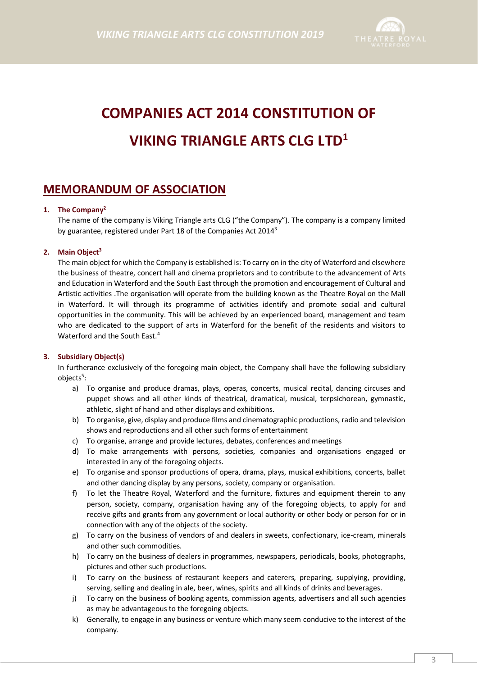

# **COMPANIES ACT 2014 CONSTITUTION OF VIKING TRIANGLE ARTS CLG LTD<sup>1</sup>**

# **MEMORANDUM OF ASSOCIATION**

#### **1. The Company<sup>2</sup>**

The name of the company is Viking Triangle arts CLG ("the Company"). The company is a company limited by guarantee, registered under Part 18 of the Companies Act 2014<sup>3</sup>

#### **2. Main Object<sup>3</sup>**

The main object for which the Company is established is: To carry on in the city of Waterford and elsewhere the business of theatre, concert hall and cinema proprietors and to contribute to the advancement of Arts and Education in Waterford and the South East through the promotion and encouragement of Cultural and Artistic activities .The organisation will operate from the building known as the Theatre Royal on the Mall in Waterford. It will through its programme of activities identify and promote social and cultural opportunities in the community. This will be achieved by an experienced board, management and team who are dedicated to the support of arts in Waterford for the benefit of the residents and visitors to Waterford and the South East.<sup>4</sup>

#### **3. Subsidiary Object(s)**

In furtherance exclusively of the foregoing main object, the Company shall have the following subsidiary objects<sup>5</sup>:

- a) To organise and produce dramas, plays, operas, concerts, musical recital, dancing circuses and puppet shows and all other kinds of theatrical, dramatical, musical, terpsichorean, gymnastic, athletic, slight of hand and other displays and exhibitions.
- b) To organise, give, display and produce films and cinematographic productions, radio and television shows and reproductions and all other such forms of entertainment
- c) To organise, arrange and provide lectures, debates, conferences and meetings
- d) To make arrangements with persons, societies, companies and organisations engaged or interested in any of the foregoing objects.
- e) To organise and sponsor productions of opera, drama, plays, musical exhibitions, concerts, ballet and other dancing display by any persons, society, company or organisation.
- f) To let the Theatre Royal, Waterford and the furniture, fixtures and equipment therein to any person, society, company, organisation having any of the foregoing objects, to apply for and receive gifts and grants from any government or local authority or other body or person for or in connection with any of the objects of the society.
- g) To carry on the business of vendors of and dealers in sweets, confectionary, ice-cream, minerals and other such commodities.
- h) To carry on the business of dealers in programmes, newspapers, periodicals, books, photographs, pictures and other such productions.
- i) To carry on the business of restaurant keepers and caterers, preparing, supplying, providing, serving, selling and dealing in ale, beer, wines, spirits and all kinds of drinks and beverages.
- j) To carry on the business of booking agents, commission agents, advertisers and all such agencies as may be advantageous to the foregoing objects.
- k) Generally, to engage in any business or venture which many seem conducive to the interest of the company.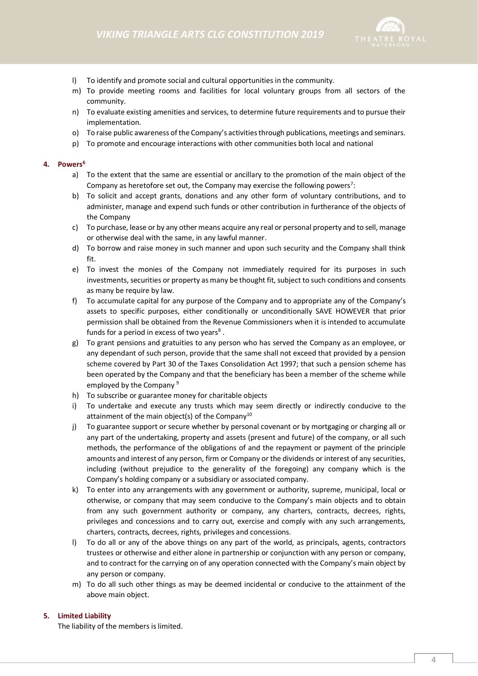

- l) To identify and promote social and cultural opportunities in the community.
- m) To provide meeting rooms and facilities for local voluntary groups from all sectors of the community.
- n) To evaluate existing amenities and services, to determine future requirements and to pursue their implementation.
- o) To raise public awareness of the Company's activities through publications, meetings and seminars.
- p) To promote and encourage interactions with other communities both local and national

#### **4. Powers<sup>6</sup>**

- a) To the extent that the same are essential or ancillary to the promotion of the main object of the Company as heretofore set out, the Company may exercise the following powers<sup>7</sup>:
- b) To solicit and accept grants, donations and any other form of voluntary contributions, and to administer, manage and expend such funds or other contribution in furtherance of the objects of the Company
- c) To purchase, lease or by any other means acquire any real or personal property and to sell, manage or otherwise deal with the same, in any lawful manner.
- d) To borrow and raise money in such manner and upon such security and the Company shall think fit.
- e) To invest the monies of the Company not immediately required for its purposes in such investments, securities or property as many be thought fit, subject to such conditions and consents as many be require by law.
- f) To accumulate capital for any purpose of the Company and to appropriate any of the Company's assets to specific purposes, either conditionally or unconditionally SAVE HOWEVER that prior permission shall be obtained from the Revenue Commissioners when it is intended to accumulate funds for a period in excess of two years<sup>8</sup>.
- g) To grant pensions and gratuities to any person who has served the Company as an employee, or any dependant of such person, provide that the same shall not exceed that provided by a pension scheme covered by Part 30 of the Taxes Consolidation Act 1997; that such a pension scheme has been operated by the Company and that the beneficiary has been a member of the scheme while employed by the Company<sup>9</sup>
- h) To subscribe or guarantee money for charitable objects
- i) To undertake and execute any trusts which may seem directly or indirectly conducive to the attainment of the main object(s) of the Company<sup>10</sup>
- j) To guarantee support or secure whether by personal covenant or by mortgaging or charging all or any part of the undertaking, property and assets (present and future) of the company, or all such methods, the performance of the obligations of and the repayment or payment of the principle amounts and interest of any person, firm or Company or the dividends or interest of any securities, including (without prejudice to the generality of the foregoing) any company which is the Company's holding company or a subsidiary or associated company.
- k) To enter into any arrangements with any government or authority, supreme, municipal, local or otherwise, or company that may seem conducive to the Company's main objects and to obtain from any such government authority or company, any charters, contracts, decrees, rights, privileges and concessions and to carry out, exercise and comply with any such arrangements, charters, contracts, decrees, rights, privileges and concessions.
- l) To do all or any of the above things on any part of the world, as principals, agents, contractors trustees or otherwise and either alone in partnership or conjunction with any person or company, and to contract for the carrying on of any operation connected with the Company's main object by any person or company.
- m) To do all such other things as may be deemed incidental or conducive to the attainment of the above main object.

#### **5. Limited Liability**

The liability of the members is limited.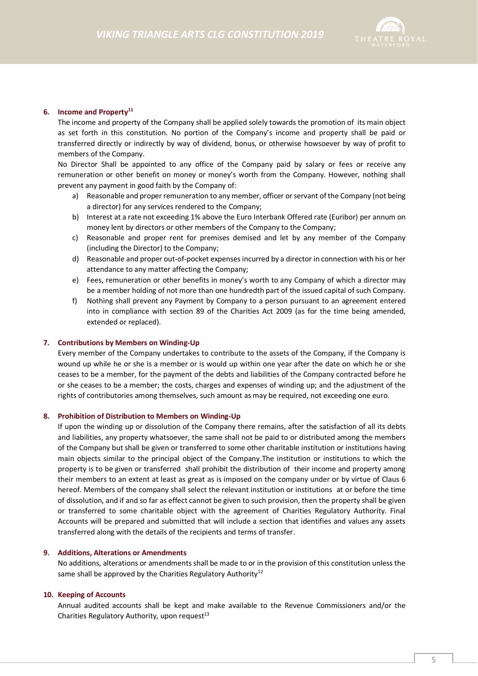

#### **6. Income and Property<sup>11</sup>**

The income and property of the Company shall be applied solely towards the promotion of its main object as set forth in this constitution. No portion of the Company's income and property shall be paid or transferred directly or indirectly by way of dividend, bonus, or otherwise howsoever by way of profit to members of the Company.

No Director Shall be appointed to any office of the Company paid by salary or fees or receive any remuneration or other benefit on money or money's worth from the Company. However, nothing shall prevent any payment in good faith by the Company of:

- a) Reasonable and proper remuneration to any member, officer or servant of the Company (not being a director) for any services rendered to the Company;
- b) Interest at a rate not exceeding 1% above the Euro Interbank Offered rate (Euribor) per annum on money lent by directors or other members of the Company to the Company;
- c) Reasonable and proper rent for premises demised and let by any member of the Company (including the Director) to the Company;
- d) Reasonable and proper out-of-pocket expenses incurred by a director in connection with his or her attendance to any matter affecting the Company;
- e) Fees, remuneration or other benefits in money's worth to any Company of which a director may be a member holding of not more than one hundredth part of the issued capital of such Company.
- f) Nothing shall prevent any Payment by Company to a person pursuant to an agreement entered into in compliance with section 89 of the Charities Act 2009 (as for the time being amended, extended or replaced).

#### **7. Contributions by Members on Winding-Up**

Every member of the Company undertakes to contribute to the assets of the Company, if the Company is wound up while he or she is a member or is would up within one year after the date on which he or she ceases to be a member, for the payment of the debts and liabilities of the Company contracted before he or she ceases to be a member; the costs, charges and expenses of winding up; and the adjustment of the rights of contributories among themselves, such amount as may be required, not exceeding one euro.

#### **8. Prohibition of Distribution to Members on Winding-Up**

If upon the winding up or dissolution of the Company there remains, after the satisfaction of all its debts and liabilities, any property whatsoever, the same shall not be paid to or distributed among the members of the Company but shall be given or transferred to some other charitable institution or institutions having main objects similar to the principal object of the Company.The institution or institutions to which the property is to be given or transferred shall prohibit the distribution of their income and property among their members to an extent at least as great as is imposed on the company under or by virtue of Claus 6 hereof. Members of the company shall select the relevant institution or institutions at or before the time of dissolution, and if and so far as effect cannot be given to such provision, then the property shall be given or transferred to some charitable object with the agreement of Charities Regulatory Authority. Final Accounts will be prepared and submitted that will include a section that identifies and values any assets transferred along with the details of the recipients and terms of transfer.

#### **9. Additions, Alterations or Amendments**

No additions, alterations or amendments shall be made to or in the provision of this constitution unless the same shall be approved by the Charities Regulatory Authority<sup>12</sup>

#### **10. Keeping of Accounts**

Annual audited accounts shall be kept and make available to the Revenue Commissioners and/or the Charities Regulatory Authority, upon request $^{13}$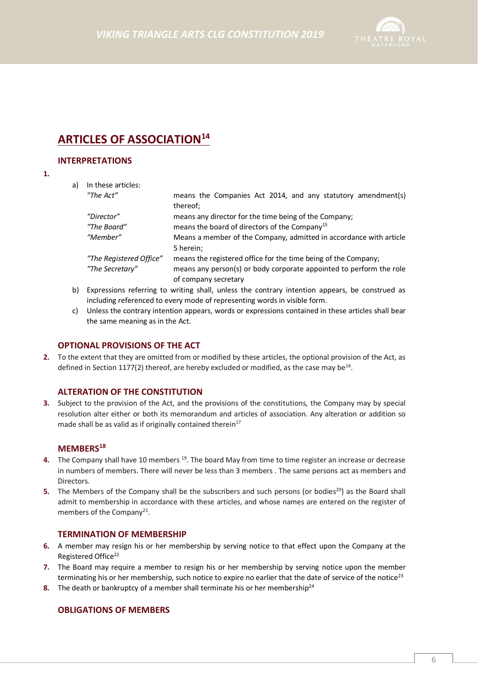

# **ARTICLES OF ASSOCIATION<sup>14</sup>**

#### **INTERPRETATIONS**

#### **1.**

| a) | In these articles:      |                                                                                                |
|----|-------------------------|------------------------------------------------------------------------------------------------|
|    | "The Act"               | means the Companies Act 2014, and any statutory amendment(s)<br>thereof;                       |
|    | "Director"              | means any director for the time being of the Company;                                          |
|    | "The Board"             | means the board of directors of the Company <sup>15</sup>                                      |
|    | "Member"                | Means a member of the Company, admitted in accordance with article<br>5 herein;                |
|    | "The Registered Office" | means the registered office for the time being of the Company;                                 |
|    | "The Secretary"         | means any person(s) or body corporate appointed to perform the role<br>of company secretary    |
| b) |                         | Expressions referring to writing shall, unless the contrary intention appears, be construed as |

- b) Expressions referring to writing shall, unless the contrary intention appears, be construed as including referenced to every mode of representing words in visible form.
- c) Unless the contrary intention appears, words or expressions contained in these articles shall bear the same meaning as in the Act.

#### **OPTIONAL PROVISIONS OF THE ACT**

**2.** To the extent that they are omitted from or modified by these articles, the optional provision of the Act, as defined in Section 1177(2) thereof, are hereby excluded or modified, as the case may be<sup>16</sup>.

#### **ALTERATION OF THE CONSTITUTION**

**3.** Subject to the provision of the Act, and the provisions of the constitutions, the Company may by special resolution alter either or both its memorandum and articles of association. Any alteration or addition so made shall be as valid as if originally contained therein $17$ 

# **MEMBERS<sup>18</sup>**

- 4. The Company shall have 10 members <sup>19</sup>. The board May from time to time register an increase or decrease in numbers of members. There will never be less than 3 members . The same persons act as members and **Directors**
- **5.** The Members of the Company shall be the subscribers and such persons (or bodies<sup>20</sup>) as the Board shall admit to membership in accordance with these articles, and whose names are entered on the register of members of the Company<sup>21</sup>.

#### **TERMINATION OF MEMBERSHIP**

- **6.** A member may resign his or her membership by serving notice to that effect upon the Company at the Registered Office<sup>22</sup>
- **7.** The Board may require a member to resign his or her membership by serving notice upon the member terminating his or her membership, such notice to expire no earlier that the date of service of the notice<sup>23</sup>
- **8.** The death or bankruptcy of a member shall terminate his or her membership<sup>24</sup>

#### **OBLIGATIONS OF MEMBERS**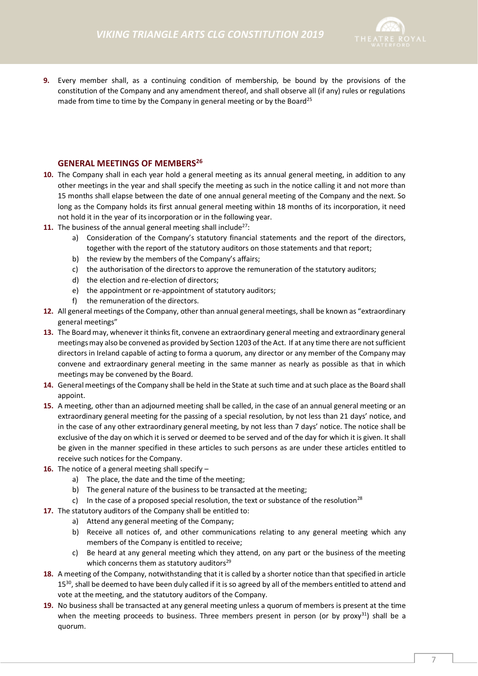

**9.** Every member shall, as a continuing condition of membership, be bound by the provisions of the constitution of the Company and any amendment thereof, and shall observe all (if any) rules or regulations made from time to time by the Company in general meeting or by the Board<sup>25</sup>

## **GENERAL MEETINGS OF MEMBERS<sup>26</sup>**

- **10.** The Company shall in each year hold a general meeting as its annual general meeting, in addition to any other meetings in the year and shall specify the meeting as such in the notice calling it and not more than 15 months shall elapse between the date of one annual general meeting of the Company and the next. So long as the Company holds its first annual general meeting within 18 months of its incorporation, it need not hold it in the year of its incorporation or in the following year.
- **11.** The business of the annual general meeting shall include<sup>27</sup>:
	- a) Consideration of the Company's statutory financial statements and the report of the directors, together with the report of the statutory auditors on those statements and that report;
	- b) the review by the members of the Company's affairs;
	- c) the authorisation of the directors to approve the remuneration of the statutory auditors;
	- d) the election and re-election of directors;
	- e) the appointment or re-appointment of statutory auditors;
	- f) the remuneration of the directors.
- **12.** All general meetings of the Company, other than annual general meetings, shall be known as "extraordinary general meetings"
- **13.** The Board may, whenever it thinks fit, convene an extraordinary general meeting and extraordinary general meetingsmay also be convened as provided by Section 1203 of the Act. If at any time there are not sufficient directors in Ireland capable of acting to forma a quorum, any director or any member of the Company may convene and extraordinary general meeting in the same manner as nearly as possible as that in which meetings may be convened by the Board.
- **14.** General meetings of the Company shall be held in the State at such time and at such place as the Board shall appoint.
- **15.** A meeting, other than an adjourned meeting shall be called, in the case of an annual general meeting or an extraordinary general meeting for the passing of a special resolution, by not less than 21 days' notice, and in the case of any other extraordinary general meeting, by not less than 7 days' notice. The notice shall be exclusive of the day on which it is served or deemed to be served and of the day for which it is given. It shall be given in the manner specified in these articles to such persons as are under these articles entitled to receive such notices for the Company.
- **16.** The notice of a general meeting shall specify
	- a) The place, the date and the time of the meeting;
	- b) The general nature of the business to be transacted at the meeting;
	- c) In the case of a proposed special resolution, the text or substance of the resolution<sup>28</sup>
- **17.** The statutory auditors of the Company shall be entitled to:
	- a) Attend any general meeting of the Company;
	- b) Receive all notices of, and other communications relating to any general meeting which any members of the Company is entitled to receive;
	- c) Be heard at any general meeting which they attend, on any part or the business of the meeting which concerns them as statutory auditors $29$
- **18.** A meeting of the Company, notwithstanding that it is called by a shorter notice than that specified in article 15<sup>30</sup>, shall be deemed to have been duly called if it is so agreed by all of the members entitled to attend and vote at the meeting, and the statutory auditors of the Company.
- **19.** No business shall be transacted at any general meeting unless a quorum of members is present at the time when the meeting proceeds to business. Three members present in person (or by proxy<sup>31</sup>) shall be a quorum.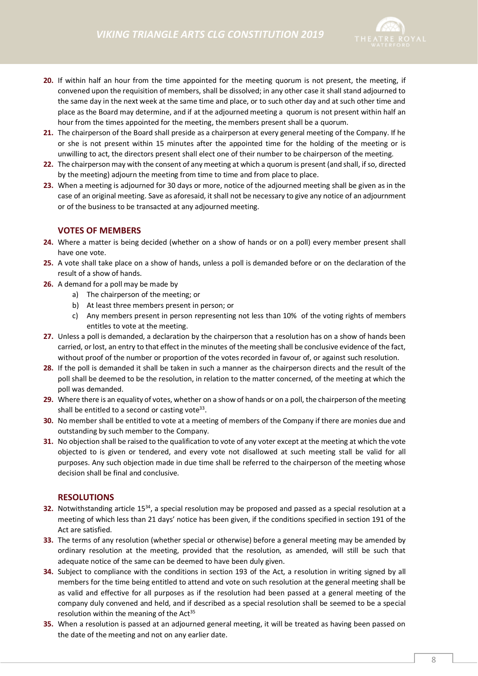

- **20.** If within half an hour from the time appointed for the meeting quorum is not present, the meeting, if convened upon the requisition of members, shall be dissolved; in any other case it shall stand adjourned to the same day in the next week at the same time and place, or to such other day and at such other time and place as the Board may determine, and if at the adjourned meeting a quorum is not present within half an hour from the times appointed for the meeting, the members present shall be a quorum.
- **21.** The chairperson of the Board shall preside as a chairperson at every general meeting of the Company. If he or she is not present within 15 minutes after the appointed time for the holding of the meeting or is unwilling to act, the directors present shall elect one of their number to be chairperson of the meeting.
- **22.** The chairperson may with the consent of any meeting at which a quorum is present (and shall, if so, directed by the meeting) adjourn the meeting from time to time and from place to place.
- **23.** When a meeting is adjourned for 30 days or more, notice of the adjourned meeting shall be given as in the case of an original meeting. Save as aforesaid, it shall not be necessary to give any notice of an adjournment or of the business to be transacted at any adjourned meeting.

### **VOTES OF MEMBERS**

- **24.** Where a matter is being decided (whether on a show of hands or on a poll) every member present shall have one vote.
- **25.** A vote shall take place on a show of hands, unless a poll is demanded before or on the declaration of the result of a show of hands.
- **26.** A demand for a poll may be made by
	- a) The chairperson of the meeting; or
	- b) At least three members present in person; or
	- c) Any members present in person representing not less than 10% of the voting rights of members entitles to vote at the meeting.
- **27.** Unless a poll is demanded, a declaration by the chairperson that a resolution has on a show of hands been carried, or lost, an entry to that effect in the minutes of the meeting shall be conclusive evidence of the fact, without proof of the number or proportion of the votes recorded in favour of, or against such resolution.
- **28.** If the poll is demanded it shall be taken in such a manner as the chairperson directs and the result of the poll shall be deemed to be the resolution, in relation to the matter concerned, of the meeting at which the poll was demanded.
- **29.** Where there is an equality of votes, whether on a show of hands or on a poll, the chairperson of the meeting shall be entitled to a second or casting vote<sup>33</sup>.
- **30.** No member shall be entitled to vote at a meeting of members of the Company if there are monies due and outstanding by such member to the Company.
- **31.** No objection shall be raised to the qualification to vote of any voter except at the meeting at which the vote objected to is given or tendered, and every vote not disallowed at such meeting stall be valid for all purposes. Any such objection made in due time shall be referred to the chairperson of the meeting whose decision shall be final and conclusive.

#### **RESOLUTIONS**

- **32.** Notwithstanding article 15<sup>34</sup>, a special resolution may be proposed and passed as a special resolution at a meeting of which less than 21 days' notice has been given, if the conditions specified in section 191 of the Act are satisfied.
- **33.** The terms of any resolution (whether special or otherwise) before a general meeting may be amended by ordinary resolution at the meeting, provided that the resolution, as amended, will still be such that adequate notice of the same can be deemed to have been duly given.
- **34.** Subject to compliance with the conditions in section 193 of the Act, a resolution in writing signed by all members for the time being entitled to attend and vote on such resolution at the general meeting shall be as valid and effective for all purposes as if the resolution had been passed at a general meeting of the company duly convened and held, and if described as a special resolution shall be seemed to be a special resolution within the meaning of the  $Act^{35}$
- **35.** When a resolution is passed at an adjourned general meeting, it will be treated as having been passed on the date of the meeting and not on any earlier date.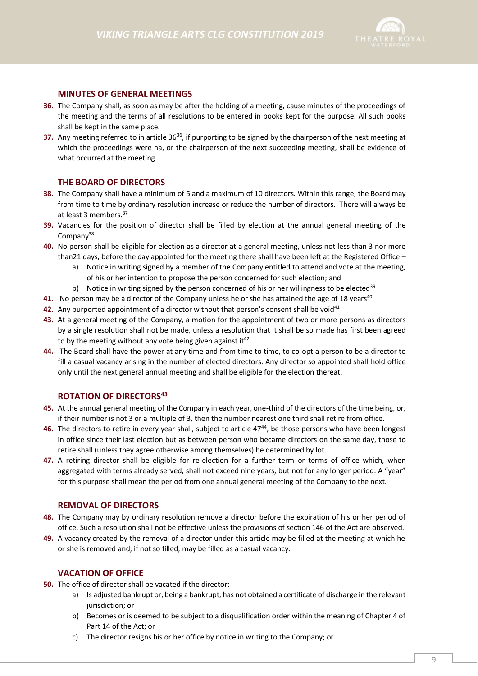

### **MINUTES OF GENERAL MEETINGS**

- **36.** The Company shall, as soon as may be after the holding of a meeting, cause minutes of the proceedings of the meeting and the terms of all resolutions to be entered in books kept for the purpose. All such books shall be kept in the same place.
- **37.** Any meeting referred to in article 36<sup>36</sup>, if purporting to be signed by the chairperson of the next meeting at which the proceedings were ha, or the chairperson of the next succeeding meeting, shall be evidence of what occurred at the meeting.

#### **THE BOARD OF DIRECTORS**

- **38.** The Company shall have a minimum of 5 and a maximum of 10 directors. Within this range, the Board may from time to time by ordinary resolution increase or reduce the number of directors. There will always be at least 3 members.<sup>37</sup>
- **39.** Vacancies for the position of director shall be filled by election at the annual general meeting of the Company<sup>38</sup>
- **40.** No person shall be eligible for election as a director at a general meeting, unless not less than 3 nor more than21 days, before the day appointed for the meeting there shall have been left at the Registered Office –
	- a) Notice in writing signed by a member of the Company entitled to attend and vote at the meeting, of his or her intention to propose the person concerned for such election; and
		- b) Notice in writing signed by the person concerned of his or her willingness to be elected<sup>39</sup>
- **41.** No person may be a director of the Company unless he or she has attained the age of 18 years<sup>40</sup>
- **42.** Any purported appointment of a director without that person's consent shall be void<sup>41</sup>
- **43.** At a general meeting of the Company, a motion for the appointment of two or more persons as directors by a single resolution shall not be made, unless a resolution that it shall be so made has first been agreed to by the meeting without any vote being given against it<sup>42</sup>
- **44.** The Board shall have the power at any time and from time to time, to co-opt a person to be a director to fill a casual vacancy arising in the number of elected directors. Any director so appointed shall hold office only until the next general annual meeting and shall be eligible for the election thereat.

## **ROTATION OF DIRECTORS<sup>43</sup>**

- **45.** At the annual general meeting of the Company in each year, one-third of the directors of the time being, or, if their number is not 3 or a multiple of 3, then the number nearest one third shall retire from office.
- **46.** The directors to retire in every year shall, subject to article 47<sup>44</sup>, be those persons who have been longest in office since their last election but as between person who became directors on the same day, those to retire shall (unless they agree otherwise among themselves) be determined by lot.
- **47.** A retiring director shall be eligible for re-election for a further term or terms of office which, when aggregated with terms already served, shall not exceed nine years, but not for any longer period. A "year" for this purpose shall mean the period from one annual general meeting of the Company to the next.

#### **REMOVAL OF DIRECTORS**

- **48.** The Company may by ordinary resolution remove a director before the expiration of his or her period of office. Such a resolution shall not be effective unless the provisions of section 146 of the Act are observed.
- **49.** A vacancy created by the removal of a director under this article may be filled at the meeting at which he or she is removed and, if not so filled, may be filled as a casual vacancy.

#### **VACATION OF OFFICE**

- **50.** The office of director shall be vacated if the director:
	- a) Is adjusted bankrupt or, being a bankrupt, has not obtained a certificate of discharge in the relevant jurisdiction; or
	- b) Becomes or is deemed to be subject to a disqualification order within the meaning of Chapter 4 of Part 14 of the Act; or
	- c) The director resigns his or her office by notice in writing to the Company; or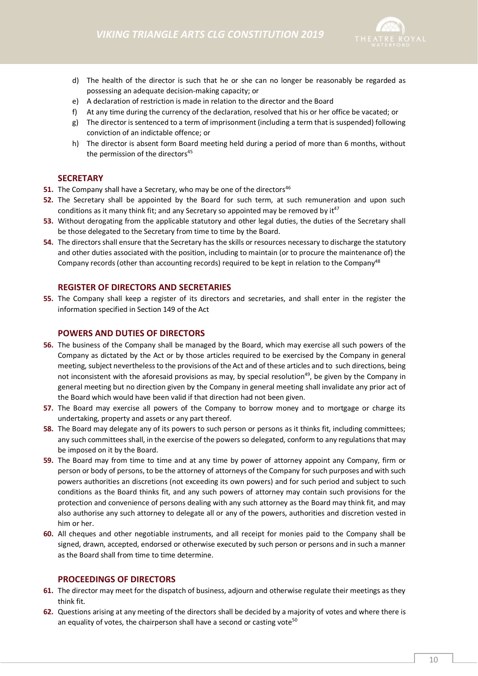

- d) The health of the director is such that he or she can no longer be reasonably be regarded as possessing an adequate decision-making capacity; or
- e) A declaration of restriction is made in relation to the director and the Board
- f) At any time during the currency of the declaration, resolved that his or her office be vacated; or
- g) The director is sentenced to a term of imprisonment (including a term that is suspended) following conviction of an indictable offence; or
- h) The director is absent form Board meeting held during a period of more than 6 months, without the permission of the directors<sup>45</sup>

### **SECRETARY**

- **51.** The Company shall have a Secretary, who may be one of the directors<sup>46</sup>
- **52.** The Secretary shall be appointed by the Board for such term, at such remuneration and upon such conditions as it many think fit; and any Secretary so appointed may be removed by  $it^{47}$
- **53.** Without derogating from the applicable statutory and other legal duties, the duties of the Secretary shall be those delegated to the Secretary from time to time by the Board.
- **54.** The directors shall ensure that the Secretary has the skills or resources necessary to discharge the statutory and other duties associated with the position, including to maintain (or to procure the maintenance of) the Company records (other than accounting records) required to be kept in relation to the Company<sup>48</sup>

#### **REGISTER OF DIRECTORS AND SECRETARIES**

**55.** The Company shall keep a register of its directors and secretaries, and shall enter in the register the information specified in Section 149 of the Act

#### **POWERS AND DUTIES OF DIRECTORS**

- **56.** The business of the Company shall be managed by the Board, which may exercise all such powers of the Company as dictated by the Act or by those articles required to be exercised by the Company in general meeting, subject nevertheless to the provisions of the Act and of these articles and to such directions, being not inconsistent with the aforesaid provisions as may, by special resolution<sup>49</sup>, be given by the Company in general meeting but no direction given by the Company in general meeting shall invalidate any prior act of the Board which would have been valid if that direction had not been given.
- **57.** The Board may exercise all powers of the Company to borrow money and to mortgage or charge its undertaking, property and assets or any part thereof.
- **58.** The Board may delegate any of its powers to such person or persons as it thinks fit, including committees; any such committees shall, in the exercise of the powers so delegated, conform to any regulations that may be imposed on it by the Board.
- **59.** The Board may from time to time and at any time by power of attorney appoint any Company, firm or person or body of persons, to be the attorney of attorneys of the Company for such purposes and with such powers authorities an discretions (not exceeding its own powers) and for such period and subject to such conditions as the Board thinks fit, and any such powers of attorney may contain such provisions for the protection and convenience of persons dealing with any such attorney as the Board may think fit, and may also authorise any such attorney to delegate all or any of the powers, authorities and discretion vested in him or her.
- **60.** All cheques and other negotiable instruments, and all receipt for monies paid to the Company shall be signed, drawn, accepted, endorsed or otherwise executed by such person or persons and in such a manner as the Board shall from time to time determine.

#### **PROCEEDINGS OF DIRECTORS**

- **61.** The director may meet for the dispatch of business, adjourn and otherwise regulate their meetings as they think fit.
- **62.** Questions arising at any meeting of the directors shall be decided by a majority of votes and where there is an equality of votes, the chairperson shall have a second or casting vote<sup>50</sup>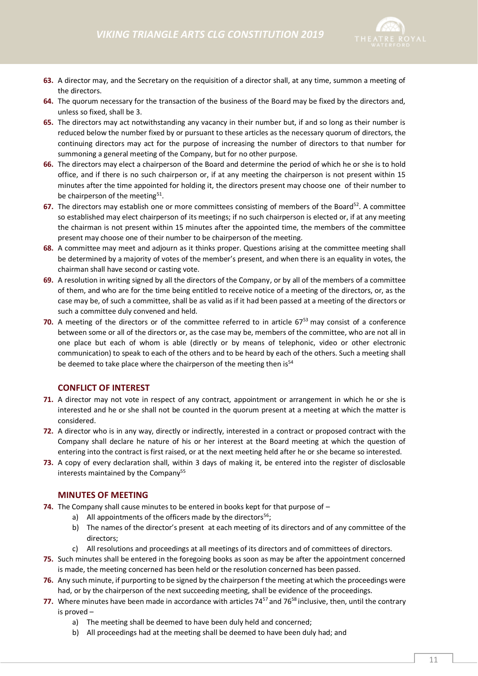

- **63.** A director may, and the Secretary on the requisition of a director shall, at any time, summon a meeting of the directors.
- **64.** The quorum necessary for the transaction of the business of the Board may be fixed by the directors and, unless so fixed, shall be 3.
- **65.** The directors may act notwithstanding any vacancy in their number but, if and so long as their number is reduced below the number fixed by or pursuant to these articles as the necessary quorum of directors, the continuing directors may act for the purpose of increasing the number of directors to that number for summoning a general meeting of the Company, but for no other purpose.
- **66.** The directors may elect a chairperson of the Board and determine the period of which he or she is to hold office, and if there is no such chairperson or, if at any meeting the chairperson is not present within 15 minutes after the time appointed for holding it, the directors present may choose one of their number to be chairperson of the meeting<sup>51</sup>.
- **67.** The directors may establish one or more committees consisting of members of the Board<sup>52</sup>. A committee so established may elect chairperson of its meetings; if no such chairperson is elected or, if at any meeting the chairman is not present within 15 minutes after the appointed time, the members of the committee present may choose one of their number to be chairperson of the meeting.
- **68.** A committee may meet and adjourn as it thinks proper. Questions arising at the committee meeting shall be determined by a majority of votes of the member's present, and when there is an equality in votes, the chairman shall have second or casting vote.
- **69.** A resolution in writing signed by all the directors of the Company, or by all of the members of a committee of them, and who are for the time being entitled to receive notice of a meeting of the directors, or, as the case may be, of such a committee, shall be as valid as if it had been passed at a meeting of the directors or such a committee duly convened and held.
- **70.** A meeting of the directors or of the committee referred to in article 67<sup>53</sup> may consist of a conference between some or all of the directors or, as the case may be, members of the committee, who are not all in one place but each of whom is able (directly or by means of telephonic, video or other electronic communication) to speak to each of the others and to be heard by each of the others. Such a meeting shall be deemed to take place where the chairperson of the meeting then is<sup>54</sup>

## **CONFLICT OF INTEREST**

- **71.** A director may not vote in respect of any contract, appointment or arrangement in which he or she is interested and he or she shall not be counted in the quorum present at a meeting at which the matter is considered.
- **72.** A director who is in any way, directly or indirectly, interested in a contract or proposed contract with the Company shall declare he nature of his or her interest at the Board meeting at which the question of entering into the contract is first raised, or at the next meeting held after he or she became so interested.
- **73.** A copy of every declaration shall, within 3 days of making it, be entered into the register of disclosable interests maintained by the Company<sup>55</sup>

#### **MINUTES OF MEETING**

- **74.** The Company shall cause minutes to be entered in books kept for that purpose of
	- a) All appointments of the officers made by the directors<sup>56</sup>;
	- b) The names of the director's present at each meeting of its directors and of any committee of the directors;
	- c) All resolutions and proceedings at all meetings of its directors and of committees of directors.
- **75.** Such minutes shall be entered in the foregoing books as soon as may be after the appointment concerned is made, the meeting concerned has been held or the resolution concerned has been passed.
- **76.** Any such minute, if purporting to be signed by the chairperson f the meeting at which the proceedings were had, or by the chairperson of the next succeeding meeting, shall be evidence of the proceedings.
- **77.** Where minutes have been made in accordance with articles 74<sup>57</sup> and 76<sup>58</sup> inclusive, then, until the contrary is proved –
	- a) The meeting shall be deemed to have been duly held and concerned;
	- b) All proceedings had at the meeting shall be deemed to have been duly had; and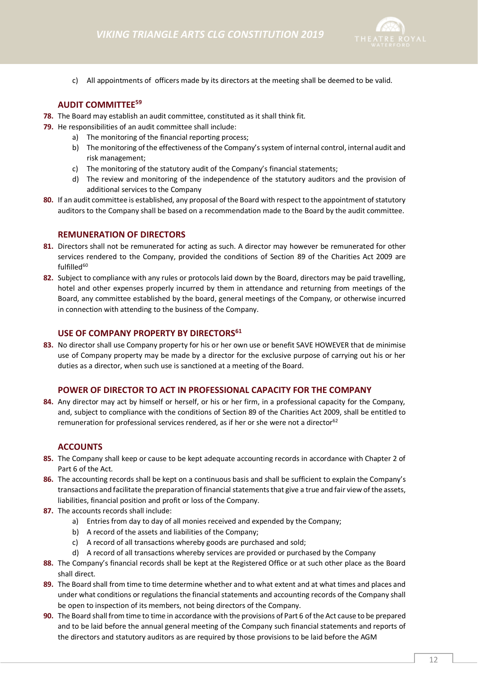

c) All appointments of officers made by its directors at the meeting shall be deemed to be valid.

### **AUDIT COMMITTEE<sup>59</sup>**

- **78.** The Board may establish an audit committee, constituted as it shall think fit.
- **79.** He responsibilities of an audit committee shall include:
	- a) The monitoring of the financial reporting process;
	- b) The monitoring of the effectiveness of the Company's system of internal control, internal audit and risk management;
	- c) The monitoring of the statutory audit of the Company's financial statements;
	- d) The review and monitoring of the independence of the statutory auditors and the provision of additional services to the Company
- **80.** If an audit committee is established, any proposal of the Board with respect to the appointment of statutory auditors to the Company shall be based on a recommendation made to the Board by the audit committee.

#### **REMUNERATION OF DIRECTORS**

- **81.** Directors shall not be remunerated for acting as such. A director may however be remunerated for other services rendered to the Company, provided the conditions of Section 89 of the Charities Act 2009 are fulfilled<sup>60</sup>
- **82.** Subject to compliance with any rules or protocols laid down by the Board, directors may be paid travelling, hotel and other expenses properly incurred by them in attendance and returning from meetings of the Board, any committee established by the board, general meetings of the Company, or otherwise incurred in connection with attending to the business of the Company.

#### **USE OF COMPANY PROPERTY BY DIRECTORS<sup>61</sup>**

**83.** No director shall use Company property for his or her own use or benefit SAVE HOWEVER that de minimise use of Company property may be made by a director for the exclusive purpose of carrying out his or her duties as a director, when such use is sanctioned at a meeting of the Board.

#### **POWER OF DIRECTOR TO ACT IN PROFESSIONAL CAPACITY FOR THE COMPANY**

**84.** Any director may act by himself or herself, or his or her firm, in a professional capacity for the Company, and, subject to compliance with the conditions of Section 89 of the Charities Act 2009, shall be entitled to remuneration for professional services rendered, as if her or she were not a director<sup>62</sup>

#### **ACCOUNTS**

- **85.** The Company shall keep or cause to be kept adequate accounting records in accordance with Chapter 2 of Part 6 of the Act.
- **86.** The accounting records shall be kept on a continuous basis and shall be sufficient to explain the Company's transactions and facilitate the preparation of financial statements that give a true and fair view of the assets, liabilities, financial position and profit or loss of the Company.
- **87.** The accounts records shall include:
	- a) Entries from day to day of all monies received and expended by the Company;
	- b) A record of the assets and liabilities of the Company;
	- c) A record of all transactions whereby goods are purchased and sold;
	- d) A record of all transactions whereby services are provided or purchased by the Company
- **88.** The Company's financial records shall be kept at the Registered Office or at such other place as the Board shall direct.
- **89.** The Board shall from time to time determine whether and to what extent and at what times and places and under what conditions or regulations the financial statements and accounting records of the Company shall be open to inspection of its members, not being directors of the Company.
- **90.** The Board shall from time to time in accordance with the provisions of Part 6 of the Act cause to be prepared and to be laid before the annual general meeting of the Company such financial statements and reports of the directors and statutory auditors as are required by those provisions to be laid before the AGM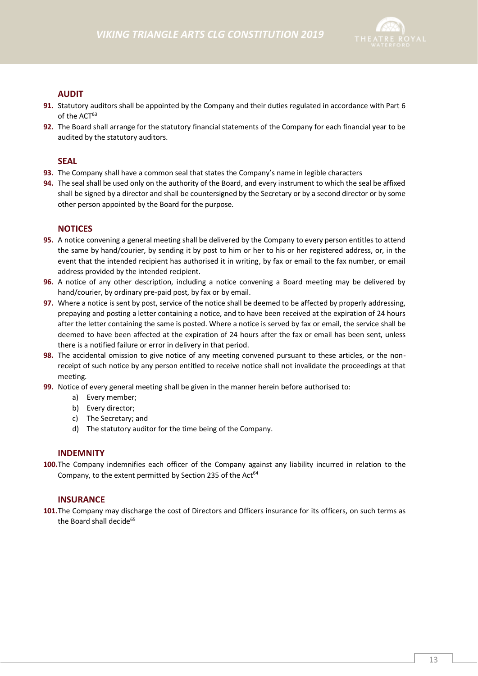

# **AUDIT**

- **91.** Statutory auditors shall be appointed by the Company and their duties regulated in accordance with Part 6 of the ACT<sup>63</sup>
- **92.** The Board shall arrange for the statutory financial statements of the Company for each financial year to be audited by the statutory auditors.

## **SEAL**

- **93.** The Company shall have a common seal that states the Company's name in legible characters
- **94.** The seal shall be used only on the authority of the Board, and every instrument to which the seal be affixed shall be signed by a director and shall be countersigned by the Secretary or by a second director or by some other person appointed by the Board for the purpose.

### **NOTICES**

- **95.** A notice convening a general meeting shall be delivered by the Company to every person entitles to attend the same by hand/courier, by sending it by post to him or her to his or her registered address, or, in the event that the intended recipient has authorised it in writing, by fax or email to the fax number, or email address provided by the intended recipient.
- **96.** A notice of any other description, including a notice convening a Board meeting may be delivered by hand/courier, by ordinary pre-paid post, by fax or by email.
- **97.** Where a notice is sent by post, service of the notice shall be deemed to be affected by properly addressing, prepaying and posting a letter containing a notice, and to have been received at the expiration of 24 hours after the letter containing the same is posted. Where a notice is served by fax or email, the service shall be deemed to have been affected at the expiration of 24 hours after the fax or email has been sent, unless there is a notified failure or error in delivery in that period.
- **98.** The accidental omission to give notice of any meeting convened pursuant to these articles, or the nonreceipt of such notice by any person entitled to receive notice shall not invalidate the proceedings at that meeting.
- **99.** Notice of every general meeting shall be given in the manner herein before authorised to:
	- a) Every member;
	- b) Every director;
	- c) The Secretary; and
	- d) The statutory auditor for the time being of the Company.

#### **INDEMNITY**

**100.**The Company indemnifies each officer of the Company against any liability incurred in relation to the Company, to the extent permitted by Section 235 of the Act<sup>64</sup>

#### **INSURANCE**

**101.**The Company may discharge the cost of Directors and Officers insurance for its officers, on such terms as the Board shall decide<sup>65</sup>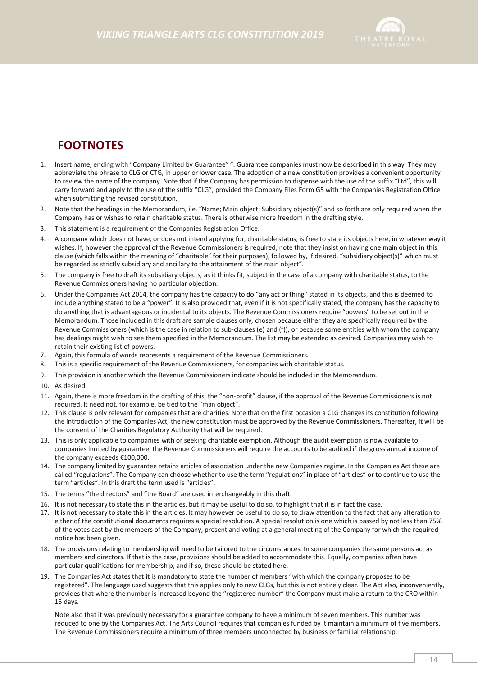

# **FOOTNOTES**

- 1. Insert name, ending with "Company Limited by Guarantee" ". Guarantee companies must now be described in this way. They may abbreviate the phrase to CLG or CTG, in upper or lower case. The adoption of a new constitution provides a convenient opportunity to review the name of the company. Note that if the Company has permission to dispense with the use of the suffix "Ltd", this will carry forward and apply to the use of the suffix "CLG", provided the Company Files Form G5 with the Companies Registration Office when submitting the revised constitution.
- 2. Note that the headings in the Memorandum, i.e. "Name; Main object; Subsidiary object(s)" and so forth are only required when the Company has or wishes to retain charitable status. There is otherwise more freedom in the drafting style.
- 3. This statement is a requirement of the Companies Registration Office.
- 4. A company which does not have, or does not intend applying for, charitable status, is free to state its objects here, in whatever way it wishes. If, however the approval of the Revenue Commissioners is required, note that they insist on having one main object in this clause (which falls within the meaning of "charitable" for their purposes), followed by, if desired, "subsidiary object(s)" which must be regarded as strictly subsidiary and ancillary to the attainment of the main object".
- 5. The company is free to draft its subsidiary objects, as it thinks fit, subject in the case of a company with charitable status, to the Revenue Commissioners having no particular objection.
- 6. Under the Companies Act 2014, the company has the capacity to do "any act or thing" stated in its objects, and this is deemed to include anything stated to be a "power". It is also provided that, even if it is not specifically stated, the company has the capacity to do anything that is advantageous or incidental to its objects. The Revenue Commissioners require "powers" to be set out in the Memorandum. Those included in this draft are sample clauses only, chosen because either they are specifically required by the Revenue Commissioners (which is the case in relation to sub-clauses (e) and (f)), or because some entities with whom the company has dealings might wish to see them specified in the Memorandum. The list may be extended as desired. Companies may wish to retain their existing list of powers.
- 7. Again, this formula of words represents a requirement of the Revenue Commissioners.
- 8. This is a specific requirement of the Revenue Commissioners, for companies with charitable status.
- 9. This provision is another which the Revenue Commissioners indicate should be included in the Memorandum.
- 10. As desired.
- 11. Again, there is more freedom in the drafting of this, the "non-profit" clause, if the approval of the Revenue Commissioners is not required. It need not, for example, be tied to the "man object".
- 12. This clause is only relevant for companies that are charities. Note that on the first occasion a CLG changes its constitution following the introduction of the Companies Act, the new constitution must be approved by the Revenue Commissioners. Thereafter, it will be the consent of the Charities Regulatory Authority that will be required.
- 13. This is only applicable to companies with or seeking charitable exemption. Although the audit exemption is now available to companies limited by guarantee, the Revenue Commissioners will require the accounts to be audited if the gross annual income of the company exceeds €100,000.
- 14. The company limited by guarantee retains articles of association under the new Companies regime. In the Companies Act these are called "regulations". The Company can choose whether to use the term "regulations" in place of "articles" or to continue to use the term "articles". In this draft the term used is "articles".
- 15. The terms "the directors" and "the Board" are used interchangeably in this draft.
- 16. It is not necessary to state this in the articles, but it may be useful to do so, to highlight that it is in fact the case.
- 17. It is not necessary to state this in the articles. It may however be useful to do so, to draw attention to the fact that any alteration to either of the constitutional documents requires a special resolution. A special resolution is one which is passed by not less than 75% of the votes cast by the members of the Company, present and voting at a general meeting of the Company for which the required notice has been given.
- 18. The provisions relating to membership will need to be tailored to the circumstances. In some companies the same persons act as members and directors. If that is the case, provisions should be added to accommodate this. Equally, companies often have particular qualifications for membership, and if so, these should be stated here.
- 19. The Companies Act states that it is mandatory to state the number of members "with which the company proposes to be registered". The language used suggests that this applies only to new CLGs, but this is not entirely clear. The Act also, inconveniently, provides that where the number is increased beyond the "registered number" the Company must make a return to the CRO within 15 days.

Note also that it was previously necessary for a guarantee company to have a minimum of seven members. This number was reduced to one by the Companies Act. The Arts Council requires that companies funded by it maintain a minimum of five members. The Revenue Commissioners require a minimum of three members unconnected by business or familial relationship.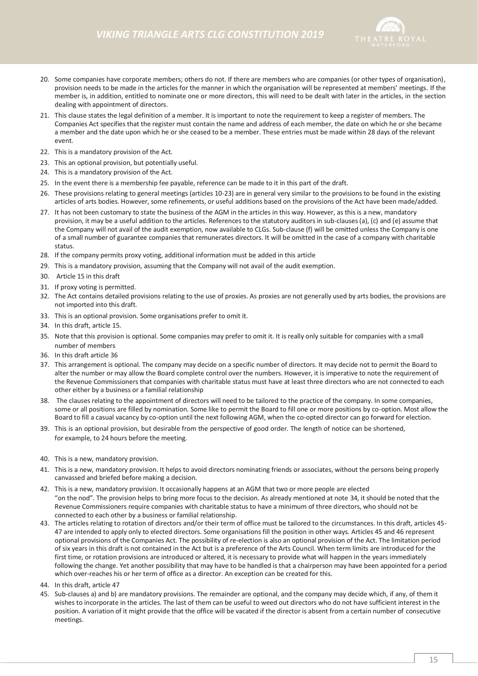

- 20. Some companies have corporate members; others do not. If there are members who are companies (or other types of organisation), provision needs to be made in the articles for the manner in which the organisation will be represented at members' meetings. If the member is, in addition, entitled to nominate one or more directors, this will need to be dealt with later in the articles, in the section dealing with appointment of directors.
- 21. This clause states the legal definition of a member. It is important to note the requirement to keep a register of members. The Companies Act specifies that the register must contain the name and address of each member, the date on which he or she became a member and the date upon which he or she ceased to be a member. These entries must be made within 28 days of the relevant event.
- 22. This is a mandatory provision of the Act.
- 23. This an optional provision, but potentially useful.
- 24. This is a mandatory provision of the Act.
- 25. In the event there is a membership fee payable, reference can be made to it in this part of the draft.
- 26. These provisions relating to general meetings (articles 10-23) are in general very similar to the provisions to be found in the existing articles of arts bodies. However, some refinements, or useful additions based on the provisions of the Act have been made/added.
- 27. It has not been customary to state the business of the AGM in the articles in this way. However, as this is a new, mandatory provision, it may be a useful addition to the articles. References to the statutory auditors in sub-clauses (a), (c) and (e) assume that the Company will not avail of the audit exemption, now available to CLGs. Sub-clause (f) will be omitted unless the Company is one of a small number of guarantee companies that remunerates directors. It will be omitted in the case of a company with charitable status.
- 28. If the company permits proxy voting, additional information must be added in this article
- 29. This is a mandatory provision, assuming that the Company will not avail of the audit exemption.
- 30. Article 15 in this draft
- 31. If proxy voting is permitted.
- 32. The Act contains detailed provisions relating to the use of proxies. As proxies are not generally used by arts bodies, the provisions are not imported into this draft.
- 33. This is an optional provision. Some organisations prefer to omit it.
- 34. In this draft, article 15.
- 35. Note that this provision is optional. Some companies may prefer to omit it. It is really only suitable for companies with a small number of members
- 36. In this draft article 36
- 37. This arrangement is optional. The company may decide on a specific number of directors. It may decide not to permit the Board to alter the number or may allow the Board complete control over the numbers. However, it is imperative to note the requirement of the Revenue Commissioners that companies with charitable status must have at least three directors who are not connected to each other either by a business or a familial relationship
- 38. The clauses relating to the appointment of directors will need to be tailored to the practice of the company. In some companies, some or all positions are filled by nomination. Some like to permit the Board to fill one or more positions by co-option. Most allow the Board to fill a casual vacancy by co-option until the next following AGM, when the co-opted director can go forward for election.
- 39. This is an optional provision, but desirable from the perspective of good order. The length of notice can be shortened, for example, to 24 hours before the meeting.
- 40. This is a new, mandatory provision.
- 41. This is a new, mandatory provision. It helps to avoid directors nominating friends or associates, without the persons being properly canvassed and briefed before making a decision.
- 42. This is a new, mandatory provision. It occasionally happens at an AGM that two or more people are elected "on the nod". The provision helps to bring more focus to the decision. As already mentioned at note 34, it should be noted that the Revenue Commissioners require companies with charitable status to have a minimum of three directors, who should not be connected to each other by a business or familial relationship.
- 43. The articles relating to rotation of directors and/or their term of office must be tailored to the circumstances. In this draft, articles 45- 47 are intended to apply only to elected directors. Some organisations fill the position in other ways. Articles 45 and 46 represent optional provisions of the Companies Act. The possibility of re-election is also an optional provision of the Act. The limitation period of six years in this draft is not contained in the Act but is a preference of the Arts Council. When term limits are introduced for the first time, or rotation provisions are introduced or altered, it is necessary to provide what will happen in the years immediately following the change. Yet another possibility that may have to be handled is that a chairperson may have been appointed for a period which over-reaches his or her term of office as a director. An exception can be created for this.
- 44. In this draft, article 47
- 45. Sub-clauses a) and b) are mandatory provisions. The remainder are optional, and the company may decide which, if any, of them it wishes to incorporate in the articles. The last of them can be useful to weed out directors who do not have sufficient interest in the position. A variation of it might provide that the office will be vacated if the director is absent from a certain number of consecutive meetings.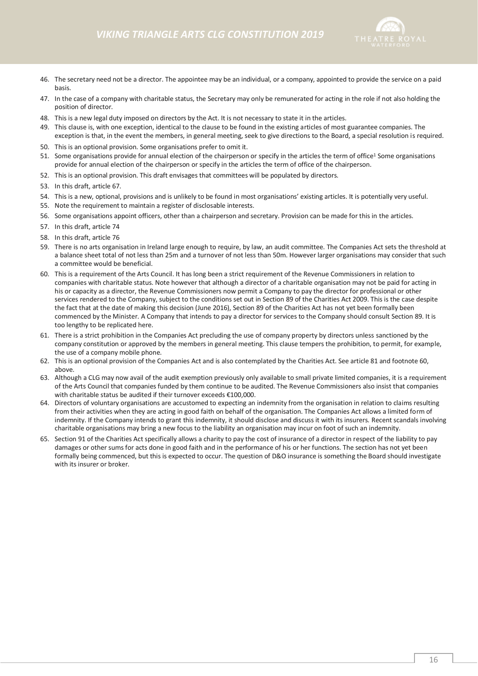

- 46. The secretary need not be a director. The appointee may be an individual, or a company, appointed to provide the service on a paid basis.
- 47. In the case of a company with charitable status, the Secretary may only be remunerated for acting in the role if not also holding the position of director.
- 48. This is a new legal duty imposed on directors by the Act. It is not necessary to state it in the articles.
- 49. This clause is, with one exception, identical to the clause to be found in the existing articles of most guarantee companies. The exception is that, in the event the members, in general meeting, seek to give directions to the Board, a special resolution is required.
- 50. This is an optional provision. Some organisations prefer to omit it.
- 51. Some organisations provide for annual election of the chairperson or specify in the articles the term of office<sup>1</sup> Some organisations provide for annual election of the chairperson or specify in the articles the term of office of the chairperson.
- 52. This is an optional provision. This draft envisages that committees will be populated by directors.
- 53. In this draft, article 67.
- 54. This is a new, optional, provisions and is unlikely to be found in most organisations' existing articles. It is potentially very useful.
- 55. Note the requirement to maintain a register of disclosable interests.
- 56. Some organisations appoint officers, other than a chairperson and secretary. Provision can be made for this in the articles.
- 57. In this draft, article 74
- 58. In this draft, article 76
- 59. There is no arts organisation in Ireland large enough to require, by law, an audit committee. The Companies Act sets the threshold at a balance sheet total of not less than 25m and a turnover of not less than 50m. However larger organisations may consider that such a committee would be beneficial.
- 60. This is a requirement of the Arts Council. It has long been a strict requirement of the Revenue Commissioners in relation to companies with charitable status. Note however that although a director of a charitable organisation may not be paid for acting in his or capacity as a director, the Revenue Commissioners now permit a Company to pay the director for professional or other services rendered to the Company, subject to the conditions set out in Section 89 of the Charities Act 2009. This is the case despite the fact that at the date of making this decision (June 2016), Section 89 of the Charities Act has not yet been formally been commenced by the Minister. A Company that intends to pay a director for services to the Company should consult Section 89. It is too lengthy to be replicated here.
- 61. There is a strict prohibition in the Companies Act precluding the use of company property by directors unless sanctioned by the company constitution or approved by the members in general meeting. This clause tempers the prohibition, to permit, for example, the use of a company mobile phone.
- 62. This is an optional provision of the Companies Act and is also contemplated by the Charities Act. See article 81 and footnote 60, above.
- 63. Although a CLG may now avail of the audit exemption previously only available to small private limited companies, it is a requirement of the Arts Council that companies funded by them continue to be audited. The Revenue Commissioners also insist that companies with charitable status be audited if their turnover exceeds €100,000.
- 64. Directors of voluntary organisations are accustomed to expecting an indemnity from the organisation in relation to claims resulting from their activities when they are acting in good faith on behalf of the organisation. The Companies Act allows a limited form of indemnity. If the Company intends to grant this indemnity, it should disclose and discuss it with its insurers. Recent scandals involving charitable organisations may bring a new focus to the liability an organisation may incur on foot of such an indemnity.
- 65. Section 91 of the Charities Act specifically allows a charity to pay the cost of insurance of a director in respect of the liability to pay damages or other sums for acts done in good faith and in the performance of his or her functions. The section has not yet been formally being commenced, but this is expected to occur. The question of D&O insurance is something the Board should investigate with its insurer or broker.